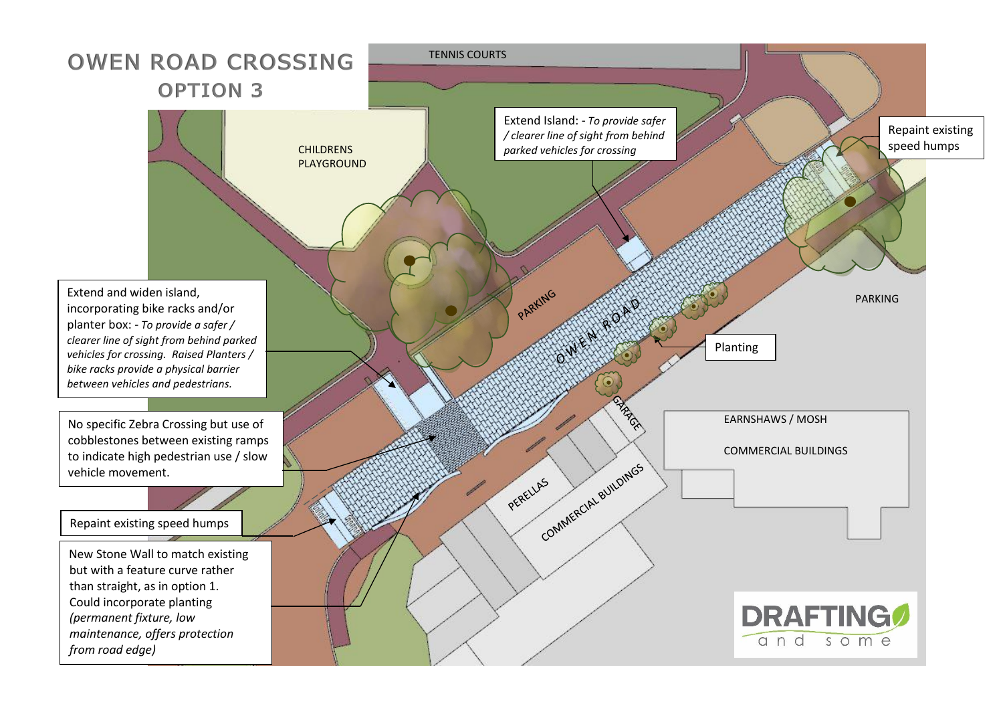